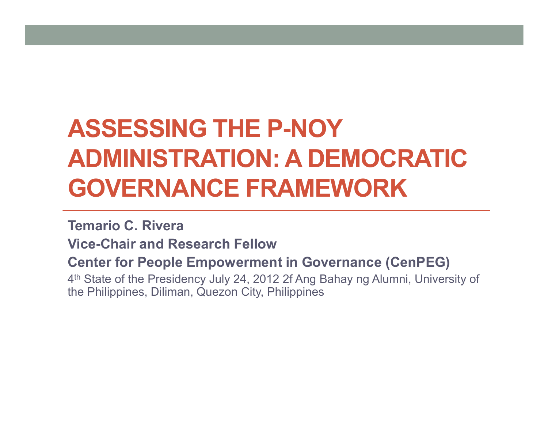# **ASSESSING THE P-NOY ADMINISTRATION: A DEMOCRATIC GOVERNANCE FRAMEWORK**

#### **Temario C. Rivera**

**Vice-Chair and Research Fellow** 

#### **Center for People Empowerment in Governance (CenPEG)**

4<sup>th</sup> State of the Presidency July 24, 2012 2f Ang Bahay ng Alumni, University of the Philippines Diliman Quezon City, Philippines the Philippines, Diliman, Quezon City, Philippines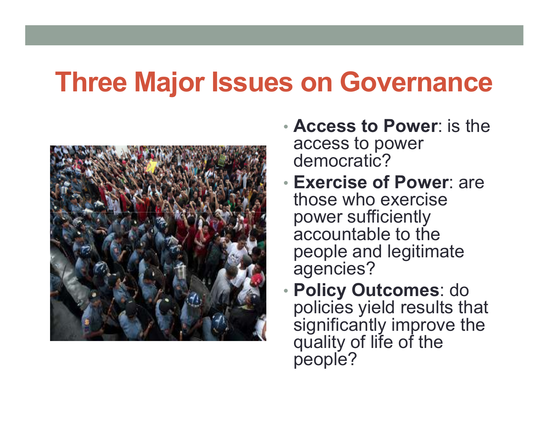## **Three Major Issues on Governance**



- • **Access to Power**: is the access to power democratic?
- Exercise o **Exercise of Power**: are those who exercise power sufficiently accountable to the people and legitimate agencies?
- Policy O **Policy Outcomes**: do policies yield results that significantly improve the quality of life of the people?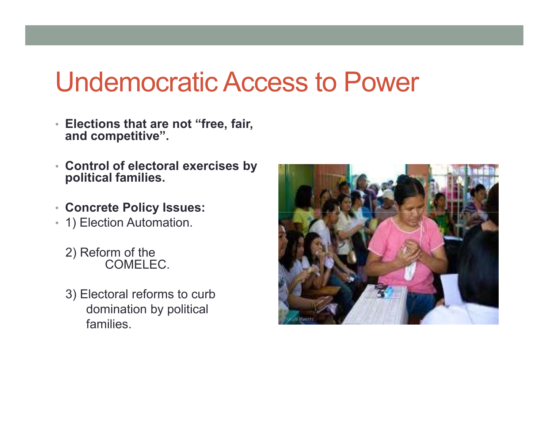### Undemocratic Access to Power

- **Elections that are not "free, fair, and competitive".**
- **Control of electoral exercises by political families.**
- **Concrete Policy Issues:**
- 1) Election Automation.
	- 2) Reform of the COMELEC.
	- 3) Electoral reforms to curb domination by political families.

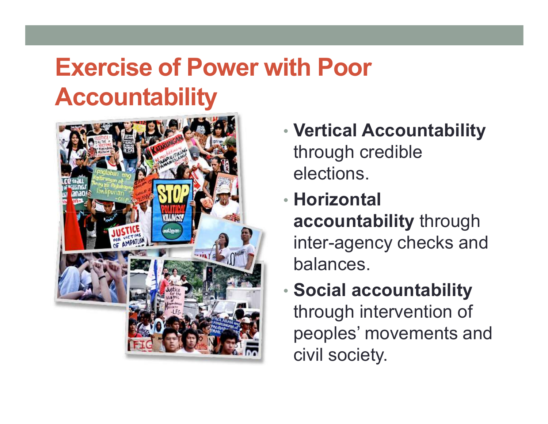### **Exercise of Power with Poor Accountability**



- • **Vertical Accountability**  through credible elections.
- • **Horizontal accountability** through inter-agency checks and balances.
- • **Social accountability**  through intervention of peoples' movements and civil society.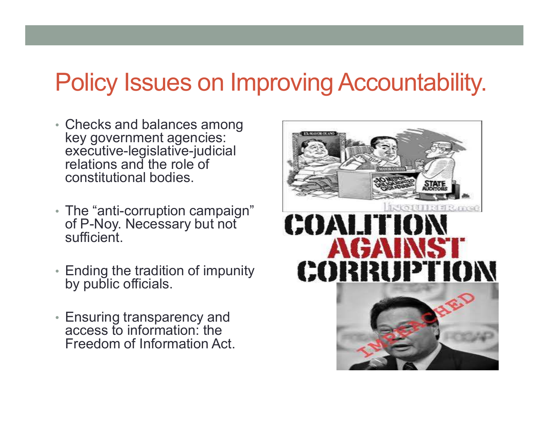#### Policy Issues on Improving Accountability.

- Checks and balances among key government agencies: executive-legislative-judicial relations and the role of constitutional bodies.
- The "anti -corruption campaign" of P-Noy. Necessary but not sufficient.
- Ending the tradition of impunity by public officials.
- Ensuring transparency and access to information: the Freedom of Information Act.